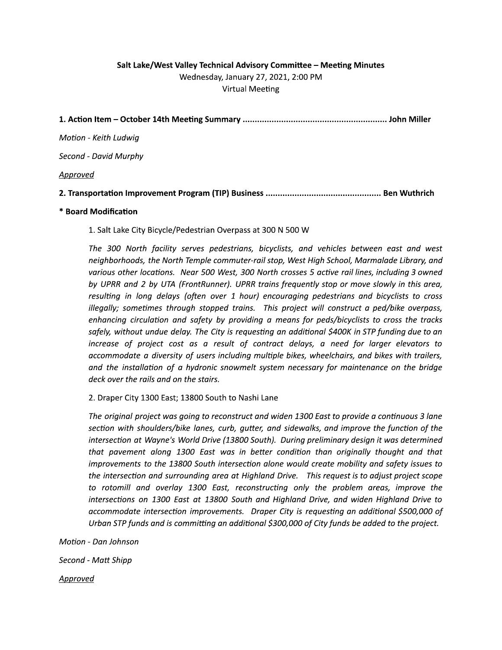## Salt Lake/West Valley Technical Advisory Committee - Meeting Minutes Wednesday, January 27, 2021, 2:00 PM **Virtual Meeting**

| 1. Action Item – October 14th Meeting Summary ……………………………………………………… John Miller     |  |
|-------------------------------------------------------------------------------------|--|
| Motion - Keith Ludwig                                                               |  |
| Second - David Murphy                                                               |  |
| <u>Approved</u>                                                                     |  |
| 2. Transportation Improvement Program (TIP) Business …………………………………………… Ben Wuthrich |  |
|                                                                                     |  |

#### \* Board Modification

1. Salt Lake City Bicycle/Pedestrian Overpass at 300 N 500 W

The 300 North facility serves pedestrians, bicyclists, and vehicles between east and west neighborhoods, the North Temple commuter-rail stop, West High School, Marmalade Library, and various other locations. Near 500 West, 300 North crosses 5 active rail lines, including 3 owned by UPRR and 2 by UTA (FrontRunner). UPRR trains frequently stop or move slowly in this area, resulting in long delays (often over 1 hour) encouraging pedestrians and bicyclists to cross illegally; sometimes through stopped trains. This project will construct a ped/bike overpass, enhancing circulation and safety by providing a means for peds/bicyclists to cross the tracks safely, without undue delay. The City is requesting an additional \$400K in STP funding due to an increase of project cost as a result of contract delays, a need for larger elevators to accommodate a diversity of users including multiple bikes, wheelchairs, and bikes with trailers, and the installation of a hydronic snowmelt system necessary for maintenance on the bridge deck over the rails and on the stairs.

2. Draper City 1300 East; 13800 South to Nashi Lane

The original project was going to reconstruct and widen 1300 East to provide a continuous 3 lane section with shoulders/bike lanes, curb, gutter, and sidewalks, and improve the function of the intersection at Wayne's World Drive (13800 South). During preliminary design it was determined that pavement along 1300 East was in better condition than originally thought and that improvements to the 13800 South intersection alone would create mobility and safety issues to the intersection and surrounding area at Highland Drive. This request is to adjust project scope to rotomill and overlay 1300 East, reconstructing only the problem areas, improve the intersections on 1300 East at 13800 South and Highland Drive, and widen Highland Drive to accommodate intersection improvements. Draper City is requesting an additional \$500,000 of Urban STP funds and is committing an additional \$300,000 of City funds be added to the project.

Motion - Dan Johnson

Second - Matt Shipp

Approved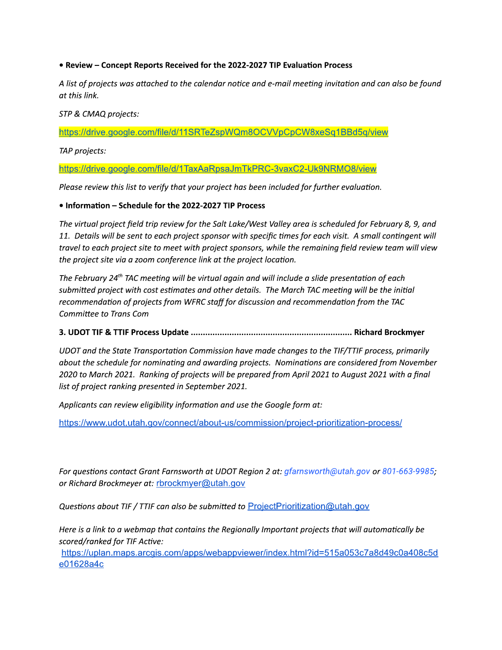#### • Review - Concept Reports Received for the 2022-2027 TIP Evaluation Process

A list of projects was attached to the calendar notice and e-mail meeting invitation and can also be found at this link.

#### STP & CMAQ projects:

https://drive.google.com/file/d/11SRTeZspWQm8OCVVpCpCW8xeSq1BBd5q/view

TAP projects:

https://drive.google.com/file/d/1TaxAaRpsaJmTkPRC-3vaxC2-Uk9NRMO8/view

Please review this list to verify that your project has been included for further evaluation.

#### • Information – Schedule for the 2022-2027 TIP Process

The virtual project field trip review for the Salt Lake/West Valley area is scheduled for February 8, 9, and 11. Details will be sent to each project sponsor with specific times for each visit. A small contingent will travel to each project site to meet with project sponsors, while the remaining field review team will view the project site via a zoom conference link at the project location.

The February 24<sup>th</sup> TAC meeting will be virtual again and will include a slide presentation of each submitted project with cost estimates and other details. The March TAC meeting will be the initial recommendation of projects from WFRC staff for discussion and recommendation from the TAC Committee to Trans Com

### 

UDOT and the State Transportation Commission have made changes to the TIF/TTIF process, primarily about the schedule for nominating and awarding projects. Nominations are considered from November 2020 to March 2021. Ranking of projects will be prepared from April 2021 to August 2021 with a final list of project ranking presented in September 2021.

Applicants can review eligibility information and use the Google form at:

https://www.udot.utah.gov/connect/about-us/commission/project-prioritization-process/

For questions contact Grant Farnsworth at UDOT Region 2 at: gfarnsworth@utah.gov or 801-663-9985; or Richard Brockmeyer at: rbrockmyer@utah.gov

*Questions about TIF / TTIF can also be submitted to ProjectPrioritization@utah.gov* 

Here is a link to a webmap that contains the Regionally Important projects that will automatically be scored/ranked for TIF Active:

https://uplan.maps.arcgis.com/apps/webappviewer/index.html?id=515a053c7a8d49c0a408c5d e01628a4c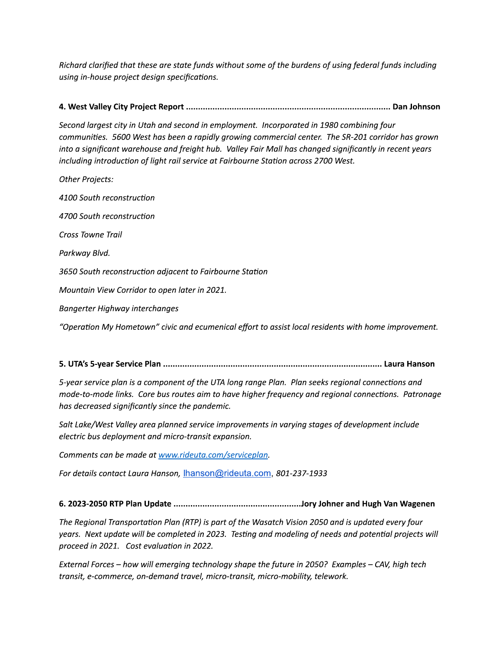Richard clarified that these are state funds without some of the burdens of using federal funds including using in-house project design specifications.

Second largest city in Utah and second in employment. Incorporated in 1980 combining four communities. 5600 West has been a rapidly growing commercial center. The SR-201 corridor has grown into a significant warehouse and freight hub. Valley Fair Mall has changed significantly in recent years including introduction of light rail service at Fairbourne Station across 2700 West.

**Other Projects:** 4100 South reconstruction 4700 South reconstruction Cross Towne Trail Parkway Blvd. 3650 South reconstruction adjacent to Fairbourne Station Mountain View Corridor to open later in 2021. **Bangerter Highway interchanges** "Operation My Hometown" civic and ecumenical effort to assist local residents with home improvement.

5-year service plan is a component of the UTA long range Plan. Plan seeks regional connections and mode-to-mode links. Core bus routes aim to have higher frequency and regional connections. Patronage has decreased significantly since the pandemic.

Salt Lake/West Valley area planned service improvements in varying stages of development include electric bus deployment and micro-transit expansion.

Comments can be made at www.rideuta.com/serviceplan.

For details contact Laura Hanson, Ihanson@rideuta.com, 801-237-1933

### 

The Regional Transportation Plan (RTP) is part of the Wasatch Vision 2050 and is updated every four years. Next update will be completed in 2023. Testing and modeling of needs and potential projects will proceed in 2021. Cost evaluation in 2022.

External Forces - how will emerging technology shape the future in 2050? Examples - CAV, high tech transit, e-commerce, on-demand travel, micro-transit, micro-mobility, telework.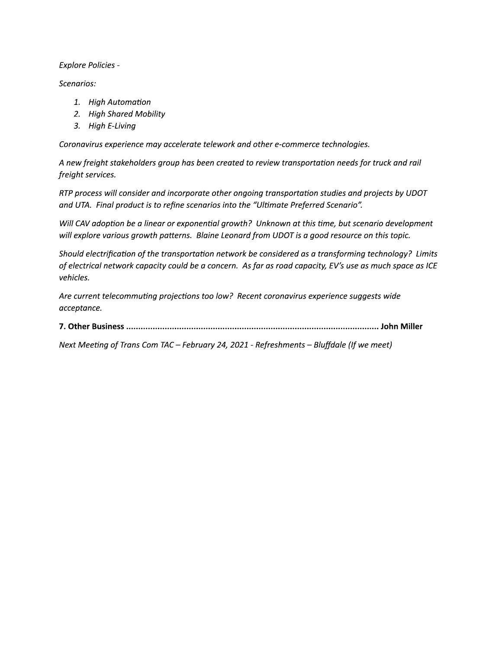**Explore Policies -**

Scenarios:

- 1. High Automation
- 2. High Shared Mobility
- 3. High E-Living

Coronavirus experience may accelerate telework and other e-commerce technologies.

A new freight stakeholders group has been created to review transportation needs for truck and rail freight services.

RTP process will consider and incorporate other ongoing transportation studies and projects by UDOT and UTA. Final product is to refine scenarios into the "Ultimate Preferred Scenario".

Will CAV adoption be a linear or exponential growth? Unknown at this time, but scenario development will explore various growth patterns. Blaine Leonard from UDOT is a good resource on this topic.

Should electrification of the transportation network be considered as a transforming technology? Limits of electrical network capacity could be a concern. As far as road capacity, EV's use as much space as ICE vehicles.

Are current telecommuting projections too low? Recent coronavirus experience suggests wide acceptance.

Next Meeting of Trans Com TAC - February 24, 2021 - Refreshments - Bluffdale (If we meet)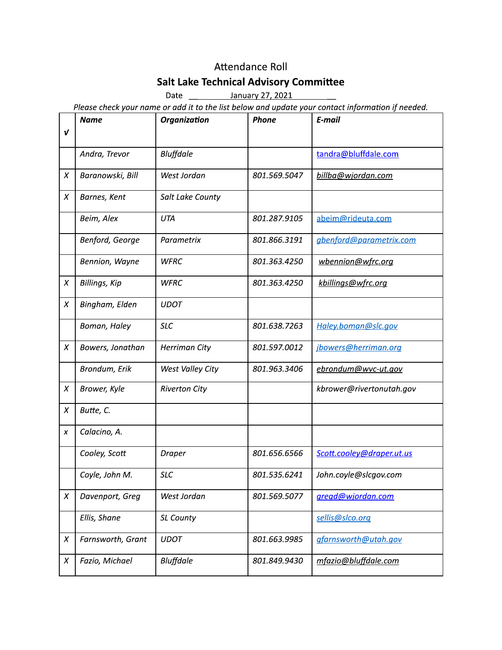# Attendance Roll

# **Salt Lake Technical Advisory Committee**

Date January 27, 2021

Please check your name or add it to the list below and update your contact information if needed.

| $\boldsymbol{v}$ | <b>Name</b>       | <b>Organization</b>  | <b>Phone</b> | E-mail                    |
|------------------|-------------------|----------------------|--------------|---------------------------|
|                  |                   |                      |              |                           |
|                  | Andra, Trevor     | Bluffdale            |              | tandra@bluffdale.com      |
| $\chi$           | Baranowski, Bill  | West Jordan          | 801.569.5047 | billba@wjordan.com        |
| $\chi$           | Barnes, Kent      | Salt Lake County     |              |                           |
|                  | Beim, Alex        | UTA                  | 801.287.9105 | abeim@rideuta.com         |
|                  | Benford, George   | Parametrix           | 801.866.3191 | gbenford@parametrix.com   |
|                  | Bennion, Wayne    | WFRC                 | 801.363.4250 | wbennion@wfrc.org         |
| X                | Billings, Kip     | <b>WFRC</b>          | 801.363.4250 | kbillings@wfrc.org        |
| X                | Bingham, Elden    | <b>UDOT</b>          |              |                           |
|                  | Boman, Haley      | <b>SLC</b>           | 801.638.7263 | Haley.boman@slc.gov       |
| $\chi$           | Bowers, Jonathan  | Herriman City        | 801.597.0012 | jbowers@herriman.org      |
|                  | Brondum, Erik     | West Valley City     | 801.963.3406 | ebrondum@wvc-ut.gov       |
| X                | Brower, Kyle      | <b>Riverton City</b> |              | kbrower@rivertonutah.gov  |
| $\chi$           | Butte, C.         |                      |              |                           |
| X                | Calacino, A.      |                      |              |                           |
|                  | Cooley, Scott     | Draper               | 801.656.6566 | Scott.cooley@draper.ut.us |
|                  | Coyle, John M.    | <b>SLC</b>           | 801.535.6241 | John.coyle@slcgov.com     |
| $\chi$           | Davenport, Greg   | West Jordan          | 801.569.5077 | gregd@wjordan.com         |
|                  | Ellis, Shane      | SL County            |              | sellis@slco.org           |
| $\chi$           | Farnsworth, Grant | <b>UDOT</b>          | 801.663.9985 | gfarnsworth@utah.gov      |
| X                | Fazio, Michael    | Bluffdale            | 801.849.9430 | mfazio@bluffdale.com      |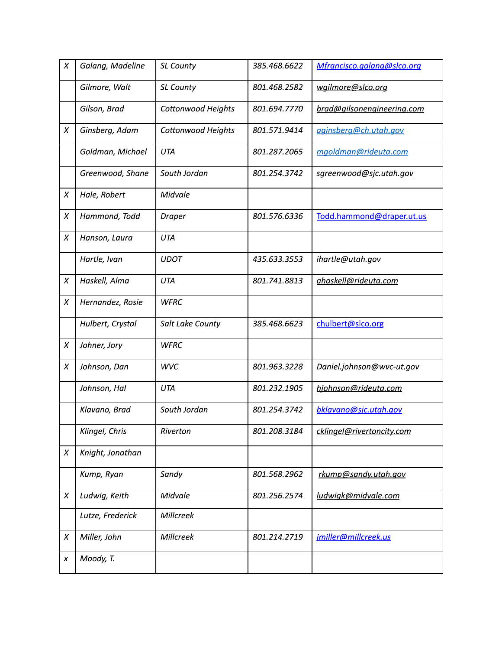| X      | Galang, Madeline | <b>SL County</b>          | 385.468.6622 | Mfrancisco.galang@slco.org |
|--------|------------------|---------------------------|--------------|----------------------------|
|        | Gilmore, Walt    | <b>SL County</b>          | 801.468.2582 | wgilmore@slco.org          |
|        | Gilson, Brad     | <b>Cottonwood Heights</b> | 801.694.7770 | brad@gilsonengineering.com |
| X      | Ginsberg, Adam   | Cottonwood Heights        | 801.571.9414 | aginsberg@ch.utah.gov      |
|        | Goldman, Michael | UTA                       | 801.287.2065 | mgoldman@rideuta.com       |
|        | Greenwood, Shane | South Jordan              | 801.254.3742 | sgreenwood@sjc.utah.gov    |
| X      | Hale, Robert     | Midvale                   |              |                            |
| $\chi$ | Hammond, Todd    | Draper                    | 801.576.6336 | Todd.hammond@draper.ut.us  |
| X      | Hanson, Laura    | UTA                       |              |                            |
|        | Hartle, Ivan     | <b>UDOT</b>               | 435.633.3553 | ihartle@utah.gov           |
| X      | Haskell, Alma    | UTA                       | 801.741.8813 | ahaskell@rideuta.com       |
| X      | Hernandez, Rosie | <b>WFRC</b>               |              |                            |
|        | Hulbert, Crystal | Salt Lake County          | 385.468.6623 | chulbert@slco.org          |
| X      | Johner, Jory     | <b>WFRC</b>               |              |                            |
| X      | Johnson, Dan     | <b>WVC</b>                | 801.963.3228 | Daniel.johnson@wvc-ut.gov  |
|        | Johnson, Hal     | UTA                       | 801.232.1905 | hjohnson@rideuta.com       |
|        | Klavano, Brad    | South Jordan              | 801.254.3742 | bklavano@sjc.utah.gov      |
|        | Klingel, Chris   | Riverton                  | 801.208.3184 | cklingel@rivertoncity.com  |
| X      | Knight, Jonathan |                           |              |                            |
|        | Kump, Ryan       | Sandy                     | 801.568.2962 | rkump@sandy.utah.gov       |
| X      | Ludwig, Keith    | Midvale                   | 801.256.2574 | ludwigk@midvale.com        |
|        | Lutze, Frederick | Millcreek                 |              |                            |
| X      | Miller, John     | Millcreek                 | 801.214.2719 | jmiller@millcreek.us       |
| X      | Moody, T.        |                           |              |                            |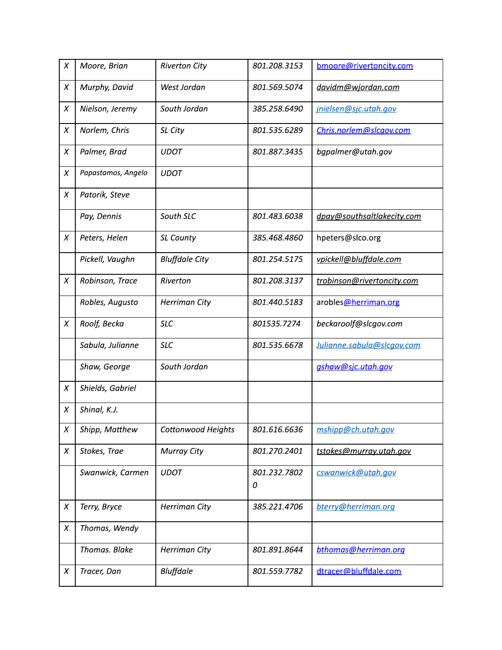| $\chi$ | Moore, Brian       | <b>Riverton City</b>  | 801.208.3153      | bmoore@rivertoncity.com    |
|--------|--------------------|-----------------------|-------------------|----------------------------|
| X      | Murphy, David      | West Jordan           | 801.569.5074      | davidm@wjordan.com         |
| $\chi$ | Nielson, Jeremy    | South Jordan          | 385.258.6490      | jnielsen@sjc.utah.gov      |
| $\chi$ | Norlem, Chris      | SL City               | 801.535.6289      | Chris.norlem@slcgov.com    |
| X      | Palmer, Brad       | <b>UDOT</b>           | 801.887.3435      | bgpalmer@utah.gov          |
| X      | Papastamos, Angelo | <b>UDOT</b>           |                   |                            |
| X      | Patorik, Steve     |                       |                   |                            |
|        | Pay, Dennis        | South SLC             | 801.483.6038      | dpay@southsaltlakecity.com |
| X      | Peters, Helen      | SL County             | 385.468.4860      | hpeters@slco.org           |
|        | Pickell, Vaughn    | <b>Bluffdale City</b> | 801.254.5175      | vpickell@bluffdale.com     |
| $\chi$ | Robinson, Trace    | Riverton              | 801.208.3137      | trobinson@rivertoncity.com |
|        | Robles, Augusto    | Herriman City         | 801.440.5183      | arobles@herriman.org       |
| X      | Roolf, Becka       | <b>SLC</b>            | 801535.7274       | beckaroolf@slcgov.com      |
|        | Sabula, Julianne   | <b>SLC</b>            | 801.535.6678      | Julianne.sabula@slcgov.com |
|        | Shaw, George       | South Jordan          |                   | ashaw@sjc.utah.gov         |
| X      | Shields, Gabriel   |                       |                   |                            |
| X      | Shinal, K.J.       |                       |                   |                            |
| X      | Shipp, Matthew     | Cottonwood Heights    | 801.616.6636      | mshipp@ch.utah.gov         |
| X      | Stokes, Trae       | <b>Murray City</b>    | 801.270.2401      | tstokes@murray.utah.gov    |
|        | Swanwick, Carmen   | <b>UDOT</b>           | 801.232.7802<br>0 | cswanwick@utah.gov         |
|        |                    |                       |                   |                            |
| X      | Terry, Bryce       | Herriman City         | 385.221.4706      | bterry@herriman.org        |
| X      | Thomas, Wendy      |                       |                   |                            |
|        | Thomas. Blake      | Herriman City         | 801.891.8644      | bthomas@herriman.org       |
| X      | Tracer, Dan        | <b>Bluffdale</b>      | 801.559.7782      | dtracer@bluffdale.com      |